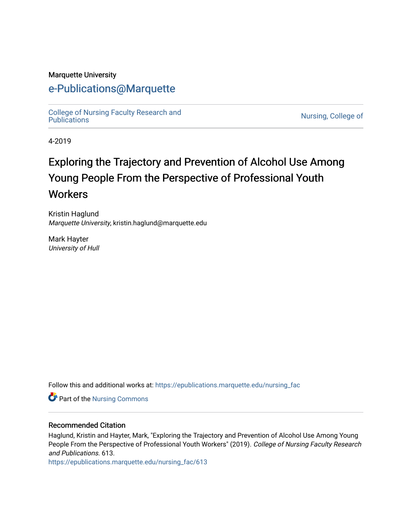#### Marquette University

# [e-Publications@Marquette](https://epublications.marquette.edu/)

[College of Nursing Faculty Research and](https://epublications.marquette.edu/nursing_fac)<br>Publications

Nursing, College of

4-2019

# Exploring the Trajectory and Prevention of Alcohol Use Among Young People From the Perspective of Professional Youth **Workers**

Kristin Haglund Marquette University, kristin.haglund@marquette.edu

Mark Hayter University of Hull

Follow this and additional works at: [https://epublications.marquette.edu/nursing\\_fac](https://epublications.marquette.edu/nursing_fac?utm_source=epublications.marquette.edu%2Fnursing_fac%2F613&utm_medium=PDF&utm_campaign=PDFCoverPages)

Part of the [Nursing Commons](http://network.bepress.com/hgg/discipline/718?utm_source=epublications.marquette.edu%2Fnursing_fac%2F613&utm_medium=PDF&utm_campaign=PDFCoverPages) 

#### Recommended Citation

Haglund, Kristin and Hayter, Mark, "Exploring the Trajectory and Prevention of Alcohol Use Among Young People From the Perspective of Professional Youth Workers" (2019). College of Nursing Faculty Research and Publications. 613.

[https://epublications.marquette.edu/nursing\\_fac/613](https://epublications.marquette.edu/nursing_fac/613?utm_source=epublications.marquette.edu%2Fnursing_fac%2F613&utm_medium=PDF&utm_campaign=PDFCoverPages)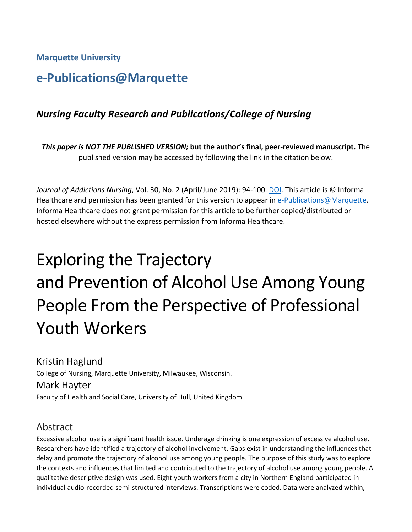**Marquette University**

# **e-Publications@Marquette**

## *Nursing Faculty Research and Publications/College of Nursing*

*This paper is NOT THE PUBLISHED VERSION;* **but the author's final, peer-reviewed manuscript.** The published version may be accessed by following the link in the citation below.

*Journal of Addictions Nursing*, Vol. 30, No. 2 (April/June 2019): 94-100. DOI. This article is © Informa Healthcare and permission has been granted for this version to appear in [e-Publications@Marquette.](http://epublications.marquette.edu/) Informa Healthcare does not grant permission for this article to be further copied/distributed or hosted elsewhere without the express permission from Informa Healthcare.

# Exploring the Trajectory and Prevention of Alcohol Use Among Young People From the Perspective of Professional Youth Workers

Kristin Haglund

College of Nursing, Marquette University, Milwaukee, Wisconsin. Mark Hayter Faculty of Health and Social Care, University of Hull, United Kingdom.

# Abstract

Excessive alcohol use is a significant health issue. Underage drinking is one expression of excessive alcohol use. Researchers have identified a trajectory of alcohol involvement. Gaps exist in understanding the influences that delay and promote the trajectory of alcohol use among young people. The purpose of this study was to explore the contexts and influences that limited and contributed to the trajectory of alcohol use among young people. A qualitative descriptive design was used. Eight youth workers from a city in Northern England participated in individual audio-recorded semi-structured interviews. Transcriptions were coded. Data were analyzed within,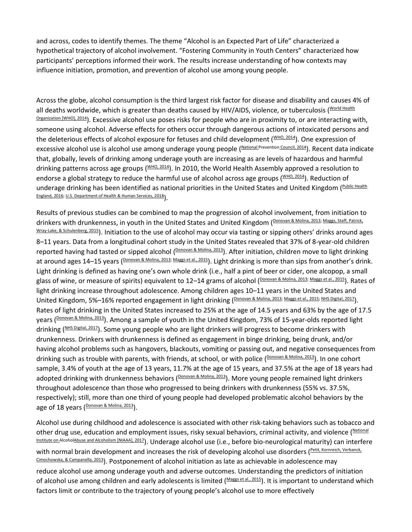and across, codes to identify themes. The theme "Alcohol is an Expected Part of Life" characterized a hypothetical trajectory of alcohol involvement. "Fostering Community in Youth Centers" characterized how participants' perceptions informed their work. The results increase understanding of how contexts may influence initiation, promotion, and prevention of alcohol use among young people.

Across the globe, alcohol consumption is the third largest risk factor for disease and disability and causes 4% of all deaths worldwide, which is greater than deaths caused by HIV/AIDS, violence, or tuberculosis (World Health [Organization \[WHO\], 2014\)](https://journals.lww.com/jan/fulltext/2019/04000/Exploring_the_Trajectory_and_Prevention_of_Alcohol.5.aspx#R13-5). Excessive alcohol use poses risks for people who are in proximity to, or are interacting with, someone using alcohol. Adverse effects for others occur through dangerous actions of intoxicated persons and the deleterious effects of alcohol exposure for fetuses and child development [\(WHO, 2014\)](https://journals.lww.com/jan/fulltext/2019/04000/Exploring_the_Trajectory_and_Prevention_of_Alcohol.5.aspx#R13-5). One expression of excessive alcohol use is alcohol use among underage young people (National Prevention [Council, 2014\)](https://journals.lww.com/jan/fulltext/2019/04000/Exploring_the_Trajectory_and_Prevention_of_Alcohol.5.aspx#R8-5). Recent data indicate that, globally, levels of drinking among underage youth are increasing as are levels of hazardous and harmful drinking patterns across age groups [\(WHO, 2014\)](https://journals.lww.com/jan/fulltext/2019/04000/Exploring_the_Trajectory_and_Prevention_of_Alcohol.5.aspx#R13-5). In 2010, the World Health Assembly approved a resolution to endorse a global strategy to reduce the harmful use of alcohol across age groups  $(\frac{WHO, 2014}{WHO})$ . Reduction of underage drinking has been identified as national priorities in the United States and United Kingdom (Public Health [England, 2016;](https://journals.lww.com/jan/fulltext/2019/04000/Exploring_the_Trajectory_and_Prevention_of_Alcohol.5.aspx#R11-5) [U.S. Department of Health & Human Services, 2018\)](https://journals.lww.com/jan/fulltext/2019/04000/Exploring_the_Trajectory_and_Prevention_of_Alcohol.5.aspx#R12-5).

Results of previous studies can be combined to map the progression of alcohol involvement, from initiation to drinkers with drunkenness, in youth in the United States and United Kingdom [\(Donovan & Molina, 2013;](https://journals.lww.com/jan/fulltext/2019/04000/Exploring_the_Trajectory_and_Prevention_of_Alcohol.5.aspx#R2-5) Maggs, Staff, Patrick, [Wray-Lake, & Schulenberg, 2015\)](https://journals.lww.com/jan/fulltext/2019/04000/Exploring_the_Trajectory_and_Prevention_of_Alcohol.5.aspx#R6-5). Initiation to the use of alcohol may occur via tasting or sipping others' drinks around ages 8–11 years. Data from a longitudinal cohort study in the United States revealed that 37% of 8-year-old children reported having had tasted or sipped alcohol (<sup>Donovan & Molina, 2013</sup>). After initiation, children move to light drinking at around ages 14–15 years [\(Donovan & Molina, 2013;](https://journals.lww.com/jan/fulltext/2019/04000/Exploring_the_Trajectory_and_Prevention_of_Alcohol.5.aspx#R2-5) [Maggs et al., 2015\)](https://journals.lww.com/jan/fulltext/2019/04000/Exploring_the_Trajectory_and_Prevention_of_Alcohol.5.aspx#R6-5). Light drinking is more than sips from another's drink. Light drinking is defined as having one's own whole drink (i.e., half a pint of beer or cider, one alcopop, a small glass of wine, or measure of spirits) equivalent to 12–14 grams of alcohol (<u>[Donovan & Molina, 2013;](https://journals.lww.com/jan/fulltext/2019/04000/Exploring_the_Trajectory_and_Prevention_of_Alcohol.5.aspx#R2-5) Maggs et al., 2015</u>). Rates of light drinking increase throughout adolescence. Among children ages 10–11 years in the United States and United Kingdom, 5%–16% reported engagement in light drinking [\(Donovan & Molina, 2013;](https://journals.lww.com/jan/fulltext/2019/04000/Exploring_the_Trajectory_and_Prevention_of_Alcohol.5.aspx#R2-5) [Maggs et al., 2015;](https://journals.lww.com/jan/fulltext/2019/04000/Exploring_the_Trajectory_and_Prevention_of_Alcohol.5.aspx#R6-5) [NHS Digital, 2017\)](https://journals.lww.com/jan/fulltext/2019/04000/Exploring_the_Trajectory_and_Prevention_of_Alcohol.5.aspx#R9-5). Rates of light drinking in the United States increased to 25% at the age of 14.5 years and 63% by the age of 17.5 years [\(Donovan & Molina, 2013\)](https://journals.lww.com/jan/fulltext/2019/04000/Exploring_the_Trajectory_and_Prevention_of_Alcohol.5.aspx#R2-5). Among a sample of youth in the United Kingdom, 73% of 15-year-olds reported light drinking [\(NHS Digital, 2017\)](https://journals.lww.com/jan/fulltext/2019/04000/Exploring_the_Trajectory_and_Prevention_of_Alcohol.5.aspx#R9-5). Some young people who are light drinkers will progress to become drinkers with drunkenness. Drinkers with drunkenness is defined as engagement in binge drinking, being drunk, and/or having alcohol problems such as hangovers, blackouts, vomiting or passing out, and negative consequences from drinking such as trouble with parents, with friends, at school, or with police (*Donovan & Molina, 2013*). In one cohort sample, 3.4% of youth at the age of 13 years, 11.7% at the age of 15 years, and 37.5% at the age of 18 years had adopted drinking with drunkenness behaviors (<sup>Donovan & Molina, 2013</sup>). More young people remained light drinkers throughout adolescence than those who progressed to being drinkers with drunkenness (55% vs. 37.5%, respectively); still, more than one third of young people had developed problematic alcohol behaviors by the age of 18 years [\(Donovan & Molina, 2013\)](https://journals.lww.com/jan/fulltext/2019/04000/Exploring_the_Trajectory_and_Prevention_of_Alcohol.5.aspx#R2-5).

Alcohol use during childhood and adolescence is associated with other risk-taking behaviors such as tobacco and other drug use, education and employment issues, risky sexual behaviors, criminal activity, and violence (National Institute on [AlcoholAbuse and Alcoholism \[NIAAA\], 2017\)](https://journals.lww.com/jan/fulltext/2019/04000/Exploring_the_Trajectory_and_Prevention_of_Alcohol.5.aspx#R7-5). Underage alcohol use (i.e., before bio-neurological maturity) can interfere with normal brain development and increases the risk of developing alcohol use disorders (Petit, Kornreich, Verbanck, [Cimochowska, & Campanella, 2013\)](https://journals.lww.com/jan/fulltext/2019/04000/Exploring_the_Trajectory_and_Prevention_of_Alcohol.5.aspx#R10-5). Postponement of alcohol initiation as late as achievable in adolescence may reduce alcohol use among underage youth and adverse outcomes. Understanding the predictors of initiation of alcohol use among children and early adolescents is limited ( $M_{\text{BRS}}$  et al., 2015). It is important to understand which factors limit or contribute to the trajectory of young people's alcohol use to more effectively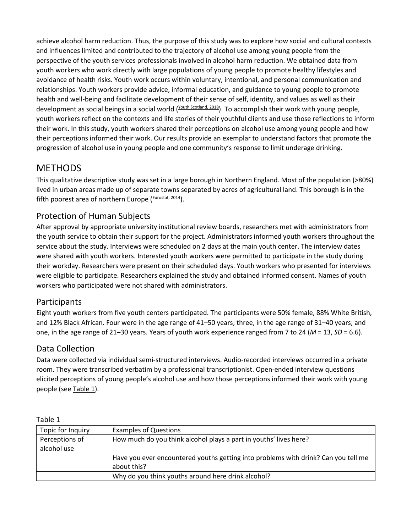achieve alcohol harm reduction. Thus, the purpose of this study was to explore how social and cultural contexts and influences limited and contributed to the trajectory of alcohol use among young people from the perspective of the youth services professionals involved in alcohol harm reduction. We obtained data from youth workers who work directly with large populations of young people to promote healthy lifestyles and avoidance of health risks. Youth work occurs within voluntary, intentional, and personal communication and relationships. Youth workers provide advice, informal education, and guidance to young people to promote health and well-being and facilitate development of their sense of self, identity, and values as well as their development as social beings in a social world [\(Youth Scotland, 2018\)](https://journals.lww.com/jan/fulltext/2019/04000/Exploring_the_Trajectory_and_Prevention_of_Alcohol.5.aspx#R14-5). To accomplish their work with young people, youth workers reflect on the contexts and life stories of their youthful clients and use those reflections to inform their work. In this study, youth workers shared their perceptions on alcohol use among young people and how their perceptions informed their work. Our results provide an exemplar to understand factors that promote the progression of alcohol use in young people and one community's response to limit underage drinking.

# METHODS

This qualitative descriptive study was set in a large borough in Northern England. Most of the population (>80%) lived in urban areas made up of separate towns separated by acres of agricultural land. This borough is in the fifth poorest area of northern Europe  $($ *Eurostat, 2014* $)$ .

## Protection of Human Subjects

After approval by appropriate university institutional review boards, researchers met with administrators from the youth service to obtain their support for the project. Administrators informed youth workers throughout the service about the study. Interviews were scheduled on 2 days at the main youth center. The interview dates were shared with youth workers. Interested youth workers were permitted to participate in the study during their workday. Researchers were present on their scheduled days. Youth workers who presented for interviews were eligible to participate. Researchers explained the study and obtained informed consent. Names of youth workers who participated were not shared with administrators.

## Participants

Eight youth workers from five youth centers participated. The participants were 50% female, 88% White British, and 12% Black African. Four were in the age range of 41–50 years; three, in the age range of 31–40 years; and one, in the age range of 21–30 years. Years of youth work experience ranged from 7 to 24 (*M* = 13, *SD* = 6.6).

## Data Collection

Data were collected via individual semi-structured interviews. Audio-recorded interviews occurred in a private room. They were transcribed verbatim by a professional transcriptionist. Open-ended interview questions elicited perceptions of young people's alcohol use and how those perceptions informed their work with young people (see [Table 1\)](javascript:void(0)).

| Topic for Inquiry | <b>Examples of Questions</b>                                                       |
|-------------------|------------------------------------------------------------------------------------|
| Perceptions of    | How much do you think alcohol plays a part in youths' lives here?                  |
| alcohol use       |                                                                                    |
|                   | Have you ever encountered youths getting into problems with drink? Can you tell me |
|                   | about this?                                                                        |
|                   | Why do you think youths around here drink alcohol?                                 |

Table 1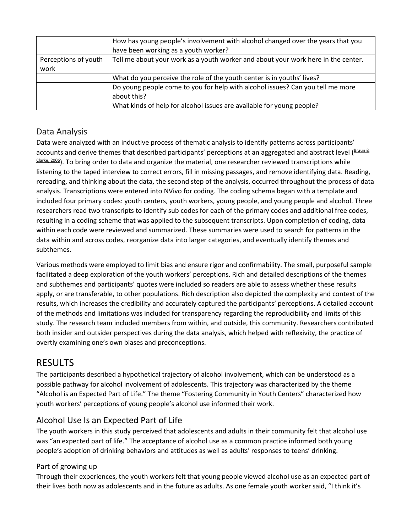|                      | How has young people's involvement with alcohol changed over the years that you<br>have been working as a youth worker? |
|----------------------|-------------------------------------------------------------------------------------------------------------------------|
| Perceptions of youth | Tell me about your work as a youth worker and about your work here in the center.                                       |
| work                 |                                                                                                                         |
|                      | What do you perceive the role of the youth center is in youths' lives?                                                  |
|                      | Do young people come to you for help with alcohol issues? Can you tell me more                                          |
|                      | about this?                                                                                                             |
|                      | What kinds of help for alcohol issues are available for young people?                                                   |

## Data Analysis

Data were analyzed with an inductive process of thematic analysis to identify patterns across participants' accounts and derive themes that described participants' perceptions at an aggregated and abstract level (Braun & [Clarke, 2006\)](https://journals.lww.com/jan/fulltext/2019/04000/Exploring_the_Trajectory_and_Prevention_of_Alcohol.5.aspx#R1-5). To bring order to data and organize the material, one researcher reviewed transcriptions while listening to the taped interview to correct errors, fill in missing passages, and remove identifying data. Reading, rereading, and thinking about the data, the second step of the analysis, occurred throughout the process of data analysis. Transcriptions were entered into NVivo for coding. The coding schema began with a template and included four primary codes: youth centers, youth workers, young people, and young people and alcohol. Three researchers read two transcripts to identify sub codes for each of the primary codes and additional free codes, resulting in a coding scheme that was applied to the subsequent transcripts. Upon completion of coding, data within each code were reviewed and summarized. These summaries were used to search for patterns in the data within and across codes, reorganize data into larger categories, and eventually identify themes and subthemes.

Various methods were employed to limit bias and ensure rigor and confirmability. The small, purposeful sample facilitated a deep exploration of the youth workers' perceptions. Rich and detailed descriptions of the themes and subthemes and participants' quotes were included so readers are able to assess whether these results apply, or are transferable, to other populations. Rich description also depicted the complexity and context of the results, which increases the credibility and accurately captured the participants' perceptions. A detailed account of the methods and limitations was included for transparency regarding the reproducibility and limits of this study. The research team included members from within, and outside, this community. Researchers contributed both insider and outsider perspectives during the data analysis, which helped with reflexivity, the practice of overtly examining one's own biases and preconceptions.

# RESULTS

The participants described a hypothetical trajectory of alcohol involvement, which can be understood as a possible pathway for alcohol involvement of adolescents. This trajectory was characterized by the theme "Alcohol is an Expected Part of Life." The theme "Fostering Community in Youth Centers" characterized how youth workers' perceptions of young people's alcohol use informed their work.

## Alcohol Use Is an Expected Part of Life

The youth workers in this study perceived that adolescents and adults in their community felt that alcohol use was "an expected part of life." The acceptance of alcohol use as a common practice informed both young people's adoption of drinking behaviors and attitudes as well as adults' responses to teens' drinking.

#### Part of growing up

Through their experiences, the youth workers felt that young people viewed alcohol use as an expected part of their lives both now as adolescents and in the future as adults. As one female youth worker said, "I think it's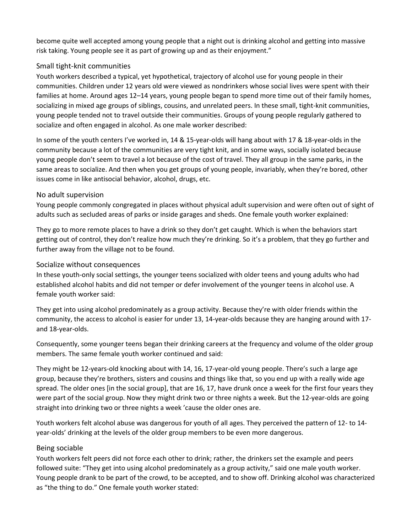become quite well accepted among young people that a night out is drinking alcohol and getting into massive risk taking. Young people see it as part of growing up and as their enjoyment."

#### Small tight-knit communities

Youth workers described a typical, yet hypothetical, trajectory of alcohol use for young people in their communities. Children under 12 years old were viewed as nondrinkers whose social lives were spent with their families at home. Around ages 12–14 years, young people began to spend more time out of their family homes, socializing in mixed age groups of siblings, cousins, and unrelated peers. In these small, tight-knit communities, young people tended not to travel outside their communities. Groups of young people regularly gathered to socialize and often engaged in alcohol. As one male worker described:

In some of the youth centers I've worked in, 14 & 15-year-olds will hang about with 17 & 18-year-olds in the community because a lot of the communities are very tight knit, and in some ways, socially isolated because young people don't seem to travel a lot because of the cost of travel. They all group in the same parks, in the same areas to socialize. And then when you get groups of young people, invariably, when they're bored, other issues come in like antisocial behavior, alcohol, drugs, etc.

#### No adult supervision

Young people commonly congregated in places without physical adult supervision and were often out of sight of adults such as secluded areas of parks or inside garages and sheds. One female youth worker explained:

They go to more remote places to have a drink so they don't get caught. Which is when the behaviors start getting out of control, they don't realize how much they're drinking. So it's a problem, that they go further and further away from the village not to be found.

#### Socialize without consequences

In these youth-only social settings, the younger teens socialized with older teens and young adults who had established alcohol habits and did not temper or defer involvement of the younger teens in alcohol use. A female youth worker said:

They get into using alcohol predominately as a group activity. Because they're with older friends within the community, the access to alcohol is easier for under 13, 14-year-olds because they are hanging around with 17 and 18-year-olds.

Consequently, some younger teens began their drinking careers at the frequency and volume of the older group members. The same female youth worker continued and said:

They might be 12-years-old knocking about with 14, 16, 17-year-old young people. There's such a large age group, because they're brothers, sisters and cousins and things like that, so you end up with a really wide age spread. The older ones [in the social group], that are 16, 17, have drunk once a week for the first four years they were part of the social group. Now they might drink two or three nights a week. But the 12-year-olds are going straight into drinking two or three nights a week 'cause the older ones are.

Youth workers felt alcohol abuse was dangerous for youth of all ages. They perceived the pattern of 12- to 14 year-olds' drinking at the levels of the older group members to be even more dangerous.

#### Being sociable

Youth workers felt peers did not force each other to drink; rather, the drinkers set the example and peers followed suite: "They get into using alcohol predominately as a group activity," said one male youth worker. Young people drank to be part of the crowd, to be accepted, and to show off. Drinking alcohol was characterized as "the thing to do." One female youth worker stated: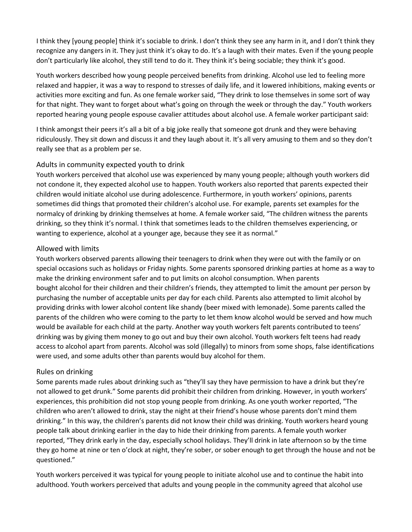I think they [young people] think it's sociable to drink. I don't think they see any harm in it, and I don't think they recognize any dangers in it. They just think it's okay to do. It's a laugh with their mates. Even if the young people don't particularly like alcohol, they still tend to do it. They think it's being sociable; they think it's good.

Youth workers described how young people perceived benefits from drinking. Alcohol use led to feeling more relaxed and happier, it was a way to respond to stresses of daily life, and it lowered inhibitions, making events or activities more exciting and fun. As one female worker said, "They drink to lose themselves in some sort of way for that night. They want to forget about what's going on through the week or through the day." Youth workers reported hearing young people espouse cavalier attitudes about alcohol use. A female worker participant said:

I think amongst their peers it's all a bit of a big joke really that someone got drunk and they were behaving ridiculously. They sit down and discuss it and they laugh about it. It's all very amusing to them and so they don't really see that as a problem per se.

#### Adults in community expected youth to drink

Youth workers perceived that alcohol use was experienced by many young people; although youth workers did not condone it, they expected alcohol use to happen. Youth workers also reported that parents expected their children would initiate alcohol use during adolescence. Furthermore, in youth workers' opinions, parents sometimes did things that promoted their children's alcohol use. For example, parents set examples for the normalcy of drinking by drinking themselves at home. A female worker said, "The children witness the parents drinking, so they think it's normal. I think that sometimes leads to the children themselves experiencing, or wanting to experience, alcohol at a younger age, because they see it as normal."

#### Allowed with limits

Youth workers observed parents allowing their teenagers to drink when they were out with the family or on special occasions such as holidays or Friday nights. Some parents sponsored drinking parties at home as a way to make the drinking environment safer and to put limits on alcohol consumption. When parents bought alcohol for their children and their children's friends, they attempted to limit the amount per person by purchasing the number of acceptable units per day for each child. Parents also attempted to limit alcohol by providing drinks with lower alcohol content like shandy (beer mixed with lemonade). Some parents called the parents of the children who were coming to the party to let them know alcohol would be served and how much would be available for each child at the party. Another way youth workers felt parents contributed to teens' drinking was by giving them money to go out and buy their own alcohol. Youth workers felt teens had ready access to alcohol apart from parents. Alcohol was sold (illegally) to minors from some shops, false identifications were used, and some adults other than parents would buy alcohol for them.

#### Rules on drinking

Some parents made rules about drinking such as "they'll say they have permission to have a drink but they're not allowed to get drunk." Some parents did prohibit their children from drinking. However, in youth workers' experiences, this prohibition did not stop young people from drinking. As one youth worker reported, "The children who aren't allowed to drink, stay the night at their friend's house whose parents don't mind them drinking." In this way, the children's parents did not know their child was drinking. Youth workers heard young people talk about drinking earlier in the day to hide their drinking from parents. A female youth worker reported, "They drink early in the day, especially school holidays. They'll drink in late afternoon so by the time they go home at nine or ten o'clock at night, they're sober, or sober enough to get through the house and not be questioned."

Youth workers perceived it was typical for young people to initiate alcohol use and to continue the habit into adulthood. Youth workers perceived that adults and young people in the community agreed that alcohol use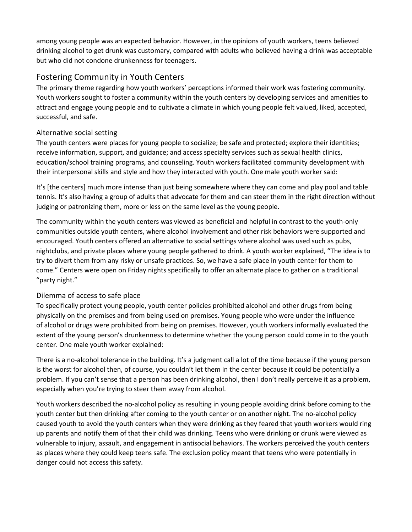among young people was an expected behavior. However, in the opinions of youth workers, teens believed drinking alcohol to get drunk was customary, compared with adults who believed having a drink was acceptable but who did not condone drunkenness for teenagers.

### Fostering Community in Youth Centers

The primary theme regarding how youth workers' perceptions informed their work was fostering community. Youth workers sought to foster a community within the youth centers by developing services and amenities to attract and engage young people and to cultivate a climate in which young people felt valued, liked, accepted, successful, and safe.

#### Alternative social setting

The youth centers were places for young people to socialize; be safe and protected; explore their identities; receive information, support, and guidance; and access specialty services such as sexual health clinics, education/school training programs, and counseling. Youth workers facilitated community development with their interpersonal skills and style and how they interacted with youth. One male youth worker said:

It's [the centers] much more intense than just being somewhere where they can come and play pool and table tennis. It's also having a group of adults that advocate for them and can steer them in the right direction without judging or patronizing them, more or less on the same level as the young people.

The community within the youth centers was viewed as beneficial and helpful in contrast to the youth-only communities outside youth centers, where alcohol involvement and other risk behaviors were supported and encouraged. Youth centers offered an alternative to social settings where alcohol was used such as pubs, nightclubs, and private places where young people gathered to drink. A youth worker explained, "The idea is to try to divert them from any risky or unsafe practices. So, we have a safe place in youth center for them to come." Centers were open on Friday nights specifically to offer an alternate place to gather on a traditional "party night."

#### Dilemma of access to safe place

To specifically protect young people, youth center policies prohibited alcohol and other drugs from being physically on the premises and from being used on premises. Young people who were under the influence of alcohol or drugs were prohibited from being on premises. However, youth workers informally evaluated the extent of the young person's drunkenness to determine whether the young person could come in to the youth center. One male youth worker explained:

There is a no-alcohol tolerance in the building. It's a judgment call a lot of the time because if the young person is the worst for alcohol then, of course, you couldn't let them in the center because it could be potentially a problem. If you can't sense that a person has been drinking alcohol, then I don't really perceive it as a problem, especially when you're trying to steer them away from alcohol.

Youth workers described the no-alcohol policy as resulting in young people avoiding drink before coming to the youth center but then drinking after coming to the youth center or on another night. The no-alcohol policy caused youth to avoid the youth centers when they were drinking as they feared that youth workers would ring up parents and notify them of that their child was drinking. Teens who were drinking or drunk were viewed as vulnerable to injury, assault, and engagement in antisocial behaviors. The workers perceived the youth centers as places where they could keep teens safe. The exclusion policy meant that teens who were potentially in danger could not access this safety.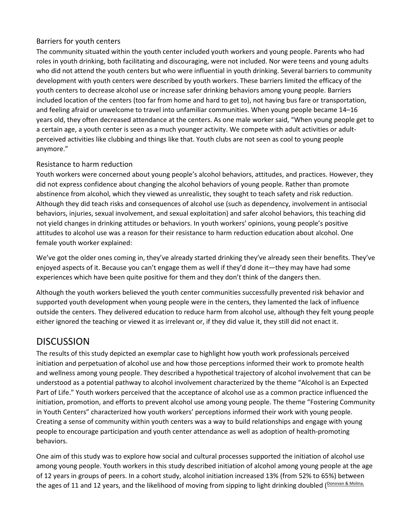#### Barriers for youth centers

The community situated within the youth center included youth workers and young people. Parents who had roles in youth drinking, both facilitating and discouraging, were not included. Nor were teens and young adults who did not attend the youth centers but who were influential in youth drinking. Several barriers to community development with youth centers were described by youth workers. These barriers limited the efficacy of the youth centers to decrease alcohol use or increase safer drinking behaviors among young people. Barriers included location of the centers (too far from home and hard to get to), not having bus fare or transportation, and feeling afraid or unwelcome to travel into unfamiliar communities. When young people became 14–16 years old, they often decreased attendance at the centers. As one male worker said, "When young people get to a certain age, a youth center is seen as a much younger activity. We compete with adult activities or adultperceived activities like clubbing and things like that. Youth clubs are not seen as cool to young people anymore."

#### Resistance to harm reduction

Youth workers were concerned about young people's alcohol behaviors, attitudes, and practices. However, they did not express confidence about changing the alcohol behaviors of young people. Rather than promote abstinence from alcohol, which they viewed as unrealistic, they sought to teach safety and risk reduction. Although they did teach risks and consequences of alcohol use (such as dependency, involvement in antisocial behaviors, injuries, sexual involvement, and sexual exploitation) and safer alcohol behaviors, this teaching did not yield changes in drinking attitudes or behaviors. In youth workers' opinions, young people's positive attitudes to alcohol use was a reason for their resistance to harm reduction education about alcohol. One female youth worker explained:

We've got the older ones coming in, they've already started drinking they've already seen their benefits. They've enjoyed aspects of it. Because you can't engage them as well if they'd done it—they may have had some experiences which have been quite positive for them and they don't think of the dangers then.

Although the youth workers believed the youth center communities successfully prevented risk behavior and supported youth development when young people were in the centers, they lamented the lack of influence outside the centers. They delivered education to reduce harm from alcohol use, although they felt young people either ignored the teaching or viewed it as irrelevant or, if they did value it, they still did not enact it.

# **DISCUSSION**

The results of this study depicted an exemplar case to highlight how youth work professionals perceived initiation and perpetuation of alcohol use and how those perceptions informed their work to promote health and wellness among young people. They described a hypothetical trajectory of alcohol involvement that can be understood as a potential pathway to alcohol involvement characterized by the theme "Alcohol is an Expected Part of Life." Youth workers perceived that the acceptance of alcohol use as a common practice influenced the initiation, promotion, and efforts to prevent alcohol use among young people. The theme "Fostering Community in Youth Centers" characterized how youth workers' perceptions informed their work with young people. Creating a sense of community within youth centers was a way to build relationships and engage with young people to encourage participation and youth center attendance as well as adoption of health-promoting behaviors.

One aim of this study was to explore how social and cultural processes supported the initiation of alcohol use among young people. Youth workers in this study described initiation of alcohol among young people at the age of 12 years in groups of peers. In a cohort study, alcohol initiation increased 13% (from 52% to 65%) between the ages of 11 and 12 years, and the likelihood of moving from sipping to light drinking doubled (Donovan & Molina,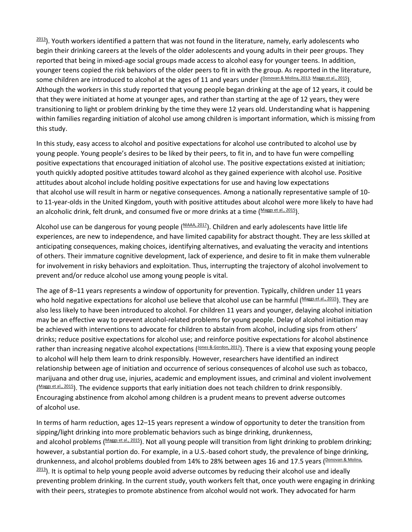$2013$ ). Youth workers identified a pattern that was not found in the literature, namely, early adolescents who begin their drinking careers at the levels of the older adolescents and young adults in their peer groups. They reported that being in mixed-age social groups made access to alcohol easy for younger teens. In addition, younger teens copied the risk behaviors of the older peers to fit in with the group. As reported in the literature, some children are introduced to alcohol at the ages of 11 and years under [\(Donovan & Molina, 2013;](https://journals.lww.com/jan/fulltext/2019/04000/Exploring_the_Trajectory_and_Prevention_of_Alcohol.5.aspx#R2-5) [Maggs et al., 2015\)](https://journals.lww.com/jan/fulltext/2019/04000/Exploring_the_Trajectory_and_Prevention_of_Alcohol.5.aspx#R6-5). Although the workers in this study reported that young people began drinking at the age of 12 years, it could be that they were initiated at home at younger ages, and rather than starting at the age of 12 years, they were transitioning to light or problem drinking by the time they were 12 years old. Understanding what is happening within families regarding initiation of alcohol use among children is important information, which is missing from this study.

In this study, easy access to alcohol and positive expectations for alcohol use contributed to alcohol use by young people. Young people's desires to be liked by their peers, to fit in, and to have fun were compelling positive expectations that encouraged initiation of alcohol use. The positive expectations existed at initiation; youth quickly adopted positive attitudes toward alcohol as they gained experience with alcohol use. Positive attitudes about alcohol include holding positive expectations for use and having low expectations that alcohol use will result in harm or negative consequences. Among a nationally representative sample of 10 to 11-year-olds in the United Kingdom, youth with positive attitudes about alcohol were more likely to have had an alcoholic drink, felt drunk, and consumed five or more drinks at a time ([Maggs et al., 2015\)](https://journals.lww.com/jan/fulltext/2019/04000/Exploring_the_Trajectory_and_Prevention_of_Alcohol.5.aspx#R6-5).

Alcohol use can be dangerous for young people [\(NIAAA, 2017\)](https://journals.lww.com/jan/fulltext/2019/04000/Exploring_the_Trajectory_and_Prevention_of_Alcohol.5.aspx#R7-5). Children and early adolescents have little life experiences, are new to independence, and have limited capability for abstract thought. They are less skilled at anticipating consequences, making choices, identifying alternatives, and evaluating the veracity and intentions of others. Their immature cognitive development, lack of experience, and desire to fit in make them vulnerable for involvement in risky behaviors and exploitation. Thus, interrupting the trajectory of alcohol involvement to prevent and/or reduce alcohol use among young people is vital.

The age of 8–11 years represents a window of opportunity for prevention. Typically, children under 11 years who hold negative expectations for alcohol use believe that alcohol use can be harmful [\(Maggs et al., 2015\)](https://journals.lww.com/jan/fulltext/2019/04000/Exploring_the_Trajectory_and_Prevention_of_Alcohol.5.aspx#R6-5). They are also less likely to have been introduced to alcohol. For children 11 years and younger, delaying alcohol initiation may be an effective way to prevent alcohol-related problems for young people. Delay of alcohol initiation may be achieved with interventions to advocate for children to abstain from alcohol, including sips from others' drinks; reduce positive expectations for alcohol use; and reinforce positive expectations for alcohol abstinence rather than increasing negative alcohol expectations (*Lones & Gordon, 2017*). There is a view that exposing young people to alcohol will help them learn to drink responsibly. However, researchers have identified an indirect relationship between age of initiation and occurrence of serious consequences of alcohol use such as tobacco, marijuana and other drug use, injuries, academic and employment issues, and criminal and violent involvement ([Maggs et al., 2015\)](https://journals.lww.com/jan/fulltext/2019/04000/Exploring_the_Trajectory_and_Prevention_of_Alcohol.5.aspx#R6-5). The evidence supports that early initiation does not teach children to drink responsibly. Encouraging abstinence from alcohol among children is a prudent means to prevent adverse outcomes of alcohol use.

In terms of harm reduction, ages 12–15 years represent a window of opportunity to deter the transition from sipping/light drinking into more problematic behaviors such as binge drinking, drunkenness, and alcohol problems [\(Maggs et al., 2015\)](https://journals.lww.com/jan/fulltext/2019/04000/Exploring_the_Trajectory_and_Prevention_of_Alcohol.5.aspx#R6-5). Not all young people will transition from light drinking to problem drinking; however, a substantial portion do. For example, in a U.S.-based cohort study, the prevalence of binge drinking, drunkenness, and alcohol problems doubled from 14% to 28% between ages 16 and 17.5 years (Donovan & Molina,  $\frac{2013}{2013}$ . It is optimal to help young people avoid adverse outcomes by reducing their alcohol use and ideally preventing problem drinking. In the current study, youth workers felt that, once youth were engaging in drinking with their peers, strategies to promote abstinence from alcohol would not work. They advocated for harm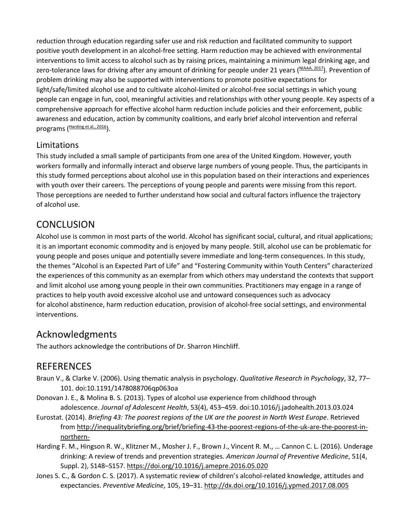reduction through education regarding safer use and risk reduction and facilitated community to support positive youth development in an alcohol-free setting. Harm reduction may be achieved with environmental interventions to limit access to alcohol such as by raising prices, maintaining a minimum legal drinking age, and zero-tolerance laws for driving after any amount of drinking for people under 21 years [\(NIAAA, 2017\)](https://journals.lww.com/jan/fulltext/2019/04000/Exploring_the_Trajectory_and_Prevention_of_Alcohol.5.aspx#R7-5). Prevention of problem drinking may also be supported with interventions to promote positive expectations for light/safe/limited alcohol use and to cultivate alcohol-limited or alcohol-free social settings in which young people can engage in fun, cool, meaningful activities and relationships with other young people. Key aspects of a comprehensive approach for effective alcohol harm reduction include policies and their enforcement, public awareness and education, action by community coalitions, and early brief alcohol intervention and referral programs [\(Harding et al., 2016\)](https://journals.lww.com/jan/fulltext/2019/04000/Exploring_the_Trajectory_and_Prevention_of_Alcohol.5.aspx#R4-5).

## Limitations

This study included a small sample of participants from one area of the United Kingdom. However, youth workers formally and informally interact and observe large numbers of young people. Thus, the participants in this study formed perceptions about alcohol use in this population based on their interactions and experiences with youth over their careers. The perceptions of young people and parents were missing from this report. Those perceptions are needed to further understand how social and cultural factors influence the trajectory of alcohol use.

# **CONCLUSION**

Alcohol use is common in most parts of the world. Alcohol has significant social, cultural, and ritual applications; it is an important economic commodity and is enjoyed by many people. Still, alcohol use can be problematic for young people and poses unique and potentially severe immediate and long-term consequences. In this study, the themes "Alcohol is an Expected Part of Life" and "Fostering Community within Youth Centers" characterized the experiences of this community as an exemplar from which others may understand the contexts that support and limit alcohol use among young people in their own communities. Practitioners may engage in a range of practices to help youth avoid excessive alcohol use and untoward consequences such as advocacy for alcohol abstinence, harm reduction education, provision of alcohol-free social settings, and environmental interventions.

# Acknowledgments

The authors acknowledge the contributions of Dr. Sharron Hinchliff.

# **REFERENCES**

- Braun V., & Clarke V. (2006). Using thematic analysis in psychology. *Qualitative Research in Psychology*, 32, 77– 101. doi:10.1191/1478088706qp063oa
- Donovan J. E., & Molina B. S. (2013). Types of alcohol use experience from childhood through adolescence. *Journal of Adolescent Health*, 53(4), 453–459. doi:10.1016/j.jadohealth.2013.03.024
- Eurostat. (2014). *Briefing 43: The poorest regions of the UK are the poorest in North West Europe*. Retrieved from [http://inequalitybriefing.org/brief/briefing-43-the-poorest-regions-of-the-uk-are-the-poorest-in](http://inequalitybriefing.org/brief/briefing-43-the-poorest-regions-of-the-uk-are-the-poorest-in-northern-)[northern-](http://inequalitybriefing.org/brief/briefing-43-the-poorest-regions-of-the-uk-are-the-poorest-in-northern-)
- Harding F. M., Hingson R. W., Klitzner M., Mosher J. F., Brown J., Vincent R. M., … Cannon C. L. (2016). Underage drinking: A review of trends and prevention strategies. *American Journal of Preventive Medicine*, 51(4, Suppl. 2), S148–S157. <https://doi.org/10.1016/j.amepre.2016.05.020>
- Jones S. C., & Gordon C. S. (2017). A systematic review of children's alcohol-related knowledge, attitudes and expectancies. *Preventive Medicine*, 105, 19–31. <http://dx.doi.org/10.1016/j.ypmed.2017.08.005>